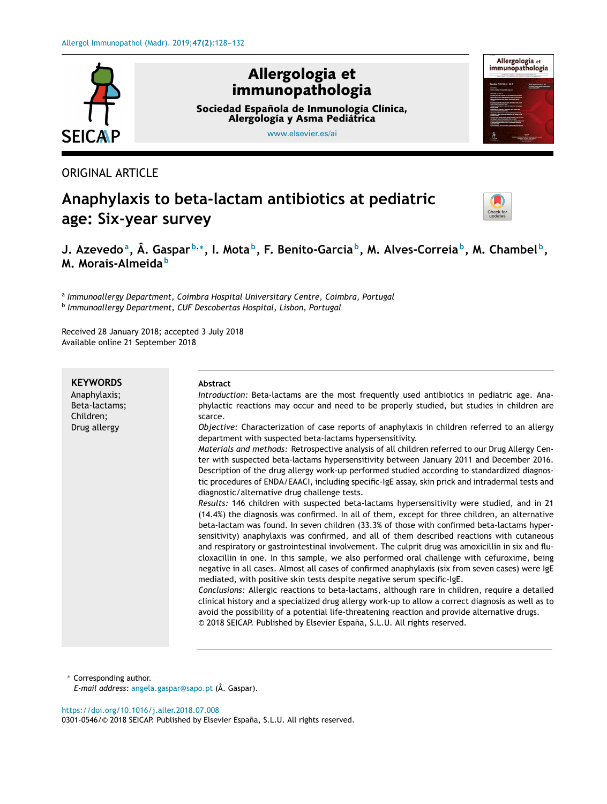

# ORIGINAL ARTICLE

# **Anaphylaxis to beta-lactam antibiotics at pediatric age: Six-year survey**



# J. Azevedoª, Â. Gasparʰ,\*, I. Motaʰ, F. Benito-Garciaʰ, M. Alves-Correiaʰ, M. Chambelʰ, **M. Morais-Almeida <sup>b</sup>**

a *Immunoallergy Department, Coimbra Hospital Universitary Centre, Coimbra, Portugal* b *Immunoallergy Department, CUF Descobertas Hospital, Lisbon, Portugal*

Received 28 January 2018; accepted 3 July 2018 Available online 21 September 2018

| <b>KEYWORDS</b> | <b>Abstract</b>                                                                                                                                                                                                                                                                                                                                                                                                                                                                                                                                                                                                                                                                                                                                                                                                                                                                                                                                                                                           |
|-----------------|-----------------------------------------------------------------------------------------------------------------------------------------------------------------------------------------------------------------------------------------------------------------------------------------------------------------------------------------------------------------------------------------------------------------------------------------------------------------------------------------------------------------------------------------------------------------------------------------------------------------------------------------------------------------------------------------------------------------------------------------------------------------------------------------------------------------------------------------------------------------------------------------------------------------------------------------------------------------------------------------------------------|
| Anaphylaxis;    | Introduction: Beta-lactams are the most frequently used antibiotics in pediatric age. Ana-                                                                                                                                                                                                                                                                                                                                                                                                                                                                                                                                                                                                                                                                                                                                                                                                                                                                                                                |
| Beta-lactams;   | phylactic reactions may occur and need to be properly studied, but studies in children are                                                                                                                                                                                                                                                                                                                                                                                                                                                                                                                                                                                                                                                                                                                                                                                                                                                                                                                |
| Children;       | scarce.                                                                                                                                                                                                                                                                                                                                                                                                                                                                                                                                                                                                                                                                                                                                                                                                                                                                                                                                                                                                   |
| Drug allergy    | Objective: Characterization of case reports of anaphylaxis in children referred to an allergy<br>department with suspected beta-lactams hypersensitivity.<br>Materials and methods: Retrospective analysis of all children referred to our Drug Allergy Cen-<br>ter with suspected beta-lactams hypersensitivity between January 2011 and December 2016.<br>Description of the drug allergy work-up performed studied according to standardized diagnos-<br>tic procedures of ENDA/EAACI, including specific-IgE assay, skin prick and intradermal tests and<br>diagnostic/alternative drug challenge tests.<br>Results: 146 children with suspected beta-lactams hypersensitivity were studied, and in 21<br>(14.4%) the diagnosis was confirmed. In all of them, except for three children, an alternative<br>beta-lactam was found. In seven children (33.3% of those with confirmed beta-lactams hyper-<br>sensitivity) anaphylaxis was confirmed, and all of them described reactions with cutaneous |
|                 | and respiratory or gastrointestinal involvement. The culprit drug was amoxicillin in six and flu-<br>cloxacillin in one. In this sample, we also performed oral challenge with cefuroxime, being<br>negative in all cases. Almost all cases of confirmed anaphylaxis (six from seven cases) were IgE<br>mediated, with positive skin tests despite negative serum specific-IgE.<br>Conclusions: Allergic reactions to beta-lactams, although rare in children, require a detailed<br>clinical history and a specialized drug allergy work-up to allow a correct diagnosis as well as to<br>avoid the possibility of a potential life-threatening reaction and provide alternative drugs.<br>© 2018 SEICAP. Published by Elsevier España, S.L.U. All rights reserved.                                                                                                                                                                                                                                      |

<sup>∗</sup> Corresponding author. *E-mail address:* [angela.gaspar@sapo.pt](mailto:angela.gaspar@sapo.pt) (Â. Gaspar).

#### <https://doi.org/10.1016/j.aller.2018.07.008>

0301-0546/© 2018 SEICAP. Published by Elsevier España, S.L.U. All rights reserved.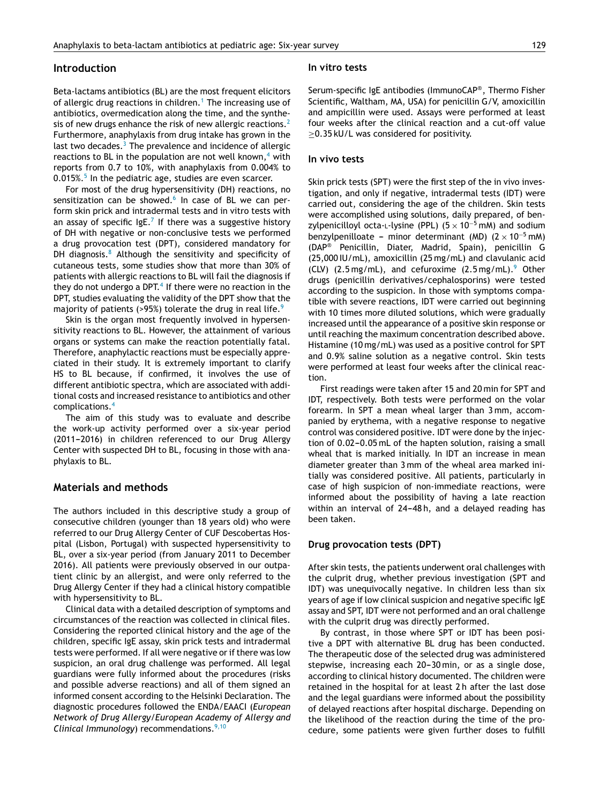#### **Introduction**

Beta-lactams antibiotics (BL) are the most frequent elicitors of allergic drug reactions in children.<sup>1</sup> [T](#page-4-0)he increasing use of antibiotics, overmedication along the time, and the synthe-sis of new drugs enhance the risk of new allergic reactions.<sup>[2](#page-4-0)</sup> Furthermore, anaphylaxis from drug intake has grown in the last two decades. $3$  The prevalence and incidence of allergic reactions to BL in the population are not [w](#page-4-0)ell known, $4$  with reports from 0.7 to 10%, with anaphylaxis from 0.004% to 0.01[5](#page-4-0)%.<sup>5</sup> In the pediatric age, studies are even scarcer.

For most of the drug hypersensitivity (DH) reactions, no sensitization can be showed.<sup>[6](#page-4-0)</sup> In case of BL we can perform skin prick and intradermal tests and in vitro tests with an assay of specific IgE.<sup>[7](#page-4-0)</sup> If there was a suggestive history of DH with negative or non-conclusive tests we performed a drug provocation test (DPT), considered mandatory for DH diagnosis. $8$  Although the sensitivity and specificity of cutaneous tests, some studies show that more than 30% of patients with allergic reactions to BL will fail the diagnosis if they do not undergo a DPT.<sup>4</sup> [If](#page-4-0) there were no reaction in the DPT, studies evaluating the validity of the DPT show that the majority of patients (>[9](#page-4-0)5%) tolerate the drug in real life. $9$ 

Skin is the organ most frequently involved in hypersensitivity reactions to BL. However, the attainment of various organs or systems can make the reaction potentially fatal. Therefore, anaphylactic reactions must be especially appreciated in their study. It is extremely important to clarify HS to BL because, if confirmed, it involves the use of different antibiotic spectra, which are associated with additional costs and increased resistance to antibiotics and other complications.[4](#page-4-0)

The aim of this study was to evaluate and describe the work-up activity performed over a six-year period (2011-2016) in children referenced to our Drug Allergy Center with suspected DH to BL, focusing in those with anaphylaxis to BL.

#### **Materials and methods**

The authors included in this descriptive study a group of consecutive children (younger than 18 years old) who were referred to our Drug Allergy Center of CUF Descobertas Hospital (Lisbon, Portugal) with suspected hypersensitivity to BL, over a six-year period (from January 2011 to December 2016). All patients were previously observed in our outpatient clinic by an allergist, and were only referred to the Drug Allergy Center if they had a clinical history compatible with hypersensitivity to BL.

Clinical data with a detailed description of symptoms and circumstances of the reaction was collected in clinical files. Considering the reported clinical history and the age of the children, specific IgE assay, skin prick tests and intradermal tests were performed. If all were negative or if there was low suspicion, an oral drug challenge was performed. All legal guardians were fully informed about the procedures (risks and possible adverse reactions) and all of them signed an informed consent according to the Helsinki Declaration. The diagnostic procedures followed the ENDA/EAACI (*European Network of Drug Allergy/European Academy of Allergy and Clinical Immunology*) recommendations.<sup>[9,10](#page-4-0)</sup>

#### **In vitro tests**

Serum-specific IgE antibodies (ImmunoCAP® , Thermo Fisher Scientific, Waltham, MA, USA) for penicillin G/V, amoxicillin and ampicillin were used. Assays were performed at least four weeks after the clinical reaction and a cut-off value ≥0.35 kU/L was considered for positivity.

#### **In vivo tests**

Skin prick tests (SPT) were the first step of the in vivo investigation, and only if negative, intradermal tests (IDT) were carried out, considering the age of the children. Skin tests were accomplished using solutions, daily prepared, of benzylpenicilloyl octa-L-lysine (PPL) ( $5 \times 10^{-5}$  mM) and sodium benzylpenilloate -- minor determinant (MD) (2 × 10<sup>-5</sup> mM) (DAP® Penicillin, Diater, Madrid, Spain), penicillin G (25,000 IU/mL), amoxicillin (25 mg/mL) and clavulanic acid (CLV)  $(2.5 \text{ mg/mL})$ , and cefuroxime  $(2.5 \text{ mg/mL})$ .<sup>[9](#page-4-0)</sup> Other drugs (penicillin derivatives/cephalosporins) were tested according to the suspicion. In those with symptoms compatible with severe reactions, IDT were carried out beginning with 10 times more diluted solutions, which were gradually increased until the appearance of a positive skin response or until reaching the maximum concentration described above. Histamine (10 mg/mL) was used as a positive control for SPT and 0.9% saline solution as a negative control. Skin tests were performed at least four weeks after the clinical reaction.

First readings were taken after 15 and 20 min for SPT and IDT, respectively. Both tests were performed on the volar forearm. In SPT a mean wheal larger than 3 mm, accompanied by erythema, with a negative response to negative control was considered positive. IDT were done by the injection of 0.02-0.05 mL of the hapten solution, raising a small wheal that is marked initially. In IDT an increase in mean diameter greater than 3 mm of the wheal area marked initially was considered positive. All patients, particularly in case of high suspicion of non-immediate reactions, were informed about the possibility of having a late reaction within an interval of 24-48h, and a delayed reading has been taken.

#### **Drug provocation tests (DPT)**

After skin tests, the patients underwent oral challenges with the culprit drug, whether previous investigation (SPT and IDT) was unequivocally negative. In children less than six years of age if low clinical suspicion and negative specific IgE assay and SPT, IDT were not performed and an oral challenge with the culprit drug was directly performed.

By contrast, in those where SPT or IDT has been positive a DPT with alternative BL drug has been conducted. The therapeutic dose of the selected drug was administered stepwise, increasing each 20-30 min, or as a single dose, according to clinical history documented. The children were retained in the hospital for at least 2 h after the last dose and the legal guardians were informed about the possibility of delayed reactions after hospital discharge. Depending on the likelihood of the reaction during the time of the procedure, some patients were given further doses to fulfill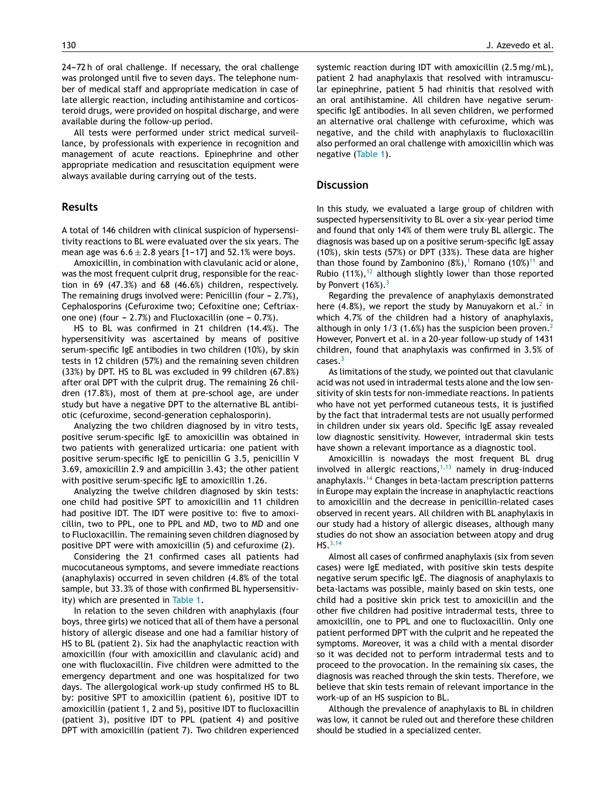24-72 h of oral challenge. If necessary, the oral challenge was prolonged until five to seven days. The telephone number of medical staff and appropriate medication in case of late allergic reaction, including antihistamine and corticosteroid drugs, were provided on hospital discharge, and were available during the follow-up period.

All tests were performed under strict medical surveillance, by professionals with experience in recognition and management of acute reactions. Epinephrine and other appropriate medication and resuscitation equipment were always available during carrying out of the tests.

#### **Results**

A total of 146 children with clinical suspicion of hypersensitivity reactions to BL were evaluated over the six years. The mean age was  $6.6 \pm 2.8$  years [1-17] and 52.1% were boys.

Amoxicillin, in combination with clavulanic acid or alone, was the most frequent culprit drug, responsible for the reaction in 69 (47.3%) and 68 (46.6%) children, respectively. The remaining drugs involved were: Penicillin (four  $-2.7\%$ ), Cephalosporins (Cefuroxime two; Cefoxitine one; Ceftriaxone one) (four  $-2.7%$ ) and Flucloxacillin (one  $-0.7%$ ).

HS to BL was confirmed in 21 children (14.4%). The hypersensitivity was ascertained by means of positive serum-specific IgE antibodies in two children (10%), by skin tests in 12 children (57%) and the remaining seven children (33%) by DPT. HS to BL was excluded in 99 children (67.8%) after oral DPT with the culprit drug. The remaining 26 children (17.8%), most of them at pre-school age, are under study but have a negative DPT to the alternative BL antibiotic (cefuroxime, second-generation cephalosporin).

Analyzing the two children diagnosed by in vitro tests, positive serum-specific IgE to amoxicillin was obtained in two patients with generalized urticaria: one patient with positive serum-specific IgE to penicillin G 3.5, penicillin V 3.69, amoxicillin 2.9 and ampicillin 3.43; the other patient with positive serum-specific IgE to amoxicillin 1.26.

Analyzing the twelve children diagnosed by skin tests: one child had positive SPT to amoxicillin and 11 children had positive IDT. The IDT were positive to: five to amoxicillin, two to PPL, one to PPL and MD, two to MD and one to Flucloxacillin. The remaining seven children diagnosed by positive DPT were with amoxicillin (5) and cefuroxime (2).

Considering the 21 confirmed cases all patients had mucocutaneous symptoms, and severe immediate reactions (anaphylaxis) occurred in seven children (4.8% of the total sample, but 33.3% of those with confirmed BL hypersensitivity) which are presented in [Table](#page-3-0) 1.

In relation to the seven children with anaphylaxis (four boys, three girls) we noticed that all of them have a personal history of allergic disease and one had a familiar history of HS to BL (patient 2). Six had the anaphylactic reaction with amoxicillin (four with amoxicillin and clavulanic acid) and one with flucloxacillin. Five children were admitted to the emergency department and one was hospitalized for two days. The allergological work-up study confirmed HS to BL by: positive SPT to amoxicillin (patient 6), positive IDT to amoxicillin (patient 1, 2 and 5), positive IDT to flucloxacillin (patient 3), positive IDT to PPL (patient 4) and positive DPT with amoxicillin (patient 7). Two children experienced

systemic reaction during IDT with amoxicillin (2.5 mg/mL), patient 2 had anaphylaxis that resolved with intramuscular epinephrine, patient 5 had rhinitis that resolved with an oral antihistamine. All children have negative serumspecific IgE antibodies. In all seven children, we performed an alternative oral challenge with cefuroxime, which was negative, and the child with anaphylaxis to flucloxacillin also performed an oral challenge with amoxicillin which was negative [\(Table](#page-3-0) 1).

#### **Discussion**

In this study, we evaluated a large group of children with suspected hypersensitivity to BL over a six-year period time and found that only 14% of them were truly BL allergic. The diagnosis was based up on a positive serum-specific IgE assay (10%), skin tests (57%) or DPT (33%). These data are higher than those found by Zambonino  $(8\%)$ ,<sup>[1](#page-4-0)</sup> Romano  $(10\%)$ <sup>[11](#page-4-0)</sup> and Rubio  $(11\%)$ ,  $^{12}$  $^{12}$  $^{12}$  although slightly lower than those reported by Ponvert  $(16\%)$ .<sup>[3](#page-4-0)</sup>

Regarding the prevalence of anaphylaxis demonstrated here (4.8%), we report the study by Manuyakorn et al.<sup>[2](#page-4-0)</sup> in which 4.7% of the children had a history of anaphylaxis, although in only 1/3 (1.6%) has the suspicion been proven.<sup>[2](#page-4-0)</sup> However, Ponvert et al. in a 20-year follow-up study of 1431 children, found that anaphylaxis was confirmed in 3.5% of cases.[3](#page-4-0)

As limitations of the study, we pointed out that clavulanic acid was not used in intradermal tests alone and the low sensitivity of skin tests for non-immediate reactions. In patients who have not yet performed cutaneous tests, it is justified by the fact that intradermal tests are not usually performed in children under six years old. Specific IgE assay revealed low diagnostic sensitivity. However, intradermal skin tests have shown a relevant importance as a diagnostic tool.

Amoxicillin is nowadays the most frequent BL drug involved in allergic reactions, $1,13$  namely in drug-induced anaphylaxis.[14](#page-4-0) Changes in beta-lactam prescription patterns in Europe may explain the increase in anaphylactic reactions to amoxicillin and the decrease in penicillin-related cases observed in recent years. All children with BL anaphylaxis in our study had a history of allergic diseases, although many studies do not show an association between atopy and drug HS.[3,14](#page-4-0)

Almost all cases of confirmed anaphylaxis (six from seven cases) were IgE mediated, with positive skin tests despite negative serum specific IgE. The diagnosis of anaphylaxis to beta-lactams was possible, mainly based on skin tests, one child had a positive skin prick test to amoxicillin and the other five children had positive intradermal tests, three to amoxicillin, one to PPL and one to flucloxacillin. Only one patient performed DPT with the culprit and he repeated the symptoms. Moreover, it was a child with a mental disorder so it was decided not to perform intradermal tests and to proceed to the provocation. In the remaining six cases, the diagnosis was reached through the skin tests. Therefore, we believe that skin tests remain of relevant importance in the work-up of an HS suspicion to BL.

Although the prevalence of anaphylaxis to BL in children was low, it cannot be ruled out and therefore these children should be studied in a specialized center.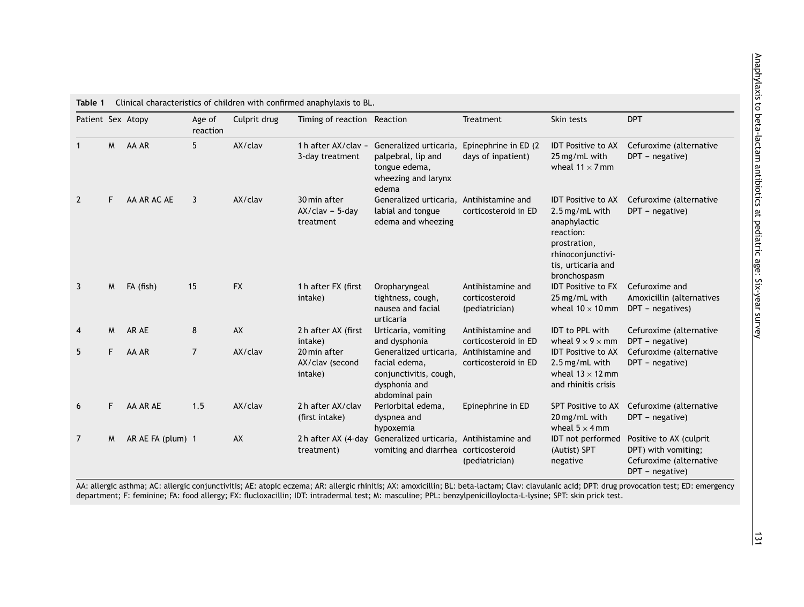| Patient Sex Atopy |   |                   | Age of<br>reaction | Culprit drug | Timing of reaction Reaction                    |                                                                                                      | Treatment                                             | Skin tests                                                                                                                                          | <b>DPT</b>                                                                                   |
|-------------------|---|-------------------|--------------------|--------------|------------------------------------------------|------------------------------------------------------------------------------------------------------|-------------------------------------------------------|-----------------------------------------------------------------------------------------------------------------------------------------------------|----------------------------------------------------------------------------------------------|
|                   | M | AA AR             | 5                  | AX/clav      | 1 h after AX/clav -<br>3-day treatment         | Generalized urticaria.<br>palpebral, lip and<br>tongue edema,<br>wheezing and larynx<br>edema        | Epinephrine in ED (2<br>days of inpatient)            | <b>IDT</b> Positive to AX<br>25 mg/mL with<br>wheal $11 \times 7$ mm                                                                                | Cefuroxime (alternative<br>DPT - negative)                                                   |
| $\overline{2}$    | F | AA AR AC AE       | 3                  | AX/clav      | 30 min after<br>$AX/clav - 5-dav$<br>treatment | Generalized urticaria, Antihistamine and<br>labial and tongue<br>edema and wheezing                  | corticosteroid in ED                                  | <b>IDT</b> Positive to AX<br>2.5 mg/mL with<br>anaphylactic<br>reaction:<br>prostration,<br>rhinoconjunctivi-<br>tis, urticaria and<br>bronchospasm | Cefuroxime (alternative<br>DPT - negative)                                                   |
| 3                 | M | FA (fish)         | 15                 | <b>FX</b>    | 1 h after FX (first<br>intake)                 | Oropharyngeal<br>tightness, cough,<br>nausea and facial<br>urticaria                                 | Antihistamine and<br>corticosteroid<br>(pediatrician) | <b>IDT Positive to FX</b><br>25 mg/mL with<br>wheal $10 \times 10$ mm                                                                               | Cefuroxime and<br>Amoxicillin (alternatives<br>DPT - negatives)                              |
| $\overline{4}$    | M | AR AE             | 8                  | AX           | 2 h after AX (first<br>intake)                 | Urticaria, vomiting<br>and dysphonia                                                                 | Antihistamine and<br>corticosteroid in ED             | <b>IDT to PPL with</b><br>wheal $9 \times 9 \times$ mm                                                                                              | Cefuroxime (alternative<br>DPT - negative)                                                   |
| 5                 | F | AA AR             | $\overline{7}$     | AX/clav      | 20 min after<br>AX/clav (second<br>intake)     | Generalized urticaria,<br>facial edema,<br>conjunctivitis, cough,<br>dysphonia and<br>abdominal pain | Antihistamine and<br>corticosteroid in ED             | <b>IDT Positive to AX</b><br>2.5 mg/mL with<br>wheal $13 \times 12$ mm<br>and rhinitis crisis                                                       | Cefuroxime (alternative<br>DPT - negative)                                                   |
| 6                 | F | AA AR AE          | 1.5                | AX/clav      | 2h after AX/clav<br>(first intake)             | Periorbital edema,<br>dyspnea and<br>hypoxemia                                                       | Epinephrine in ED                                     | SPT Positive to AX<br>20 mg/mL with<br>wheal $5 \times 4$ mm                                                                                        | Cefuroxime (alternative<br>$DPT - negative)$                                                 |
| 7                 | M | AR AE FA (plum) 1 |                    | AX           | 2h after AX (4-day<br>treatment)               | Generalized urticaria, Antihistamine and<br>vomiting and diarrhea corticosteroid                     | (pediatrician)                                        | IDT not performed<br>(Autist) SPT<br>negative                                                                                                       | Positive to AX (culprit<br>DPT) with vomiting;<br>Cefuroxime (alternative<br>DPT - negative) |

<span id="page-3-0"></span>**Table 1** Clinical characteristics of children with confirmed anaphylaxis to BL.

AA: allergic asthma; AC: allergic conjunctivitis; AE: atopic eczema; AR: allergic rhinitis; AX: amoxicillin; BL: beta-lactam; Clav: clavulanic acid; DPT: drug provocation test; ED: emergency department; F: feminine; FA: food allergy; FX: flucloxacillin; IDT: intradermal test; M: masculine; PPL: benzylpenicilloylocta-L-lysine; SPT: skin prick test.